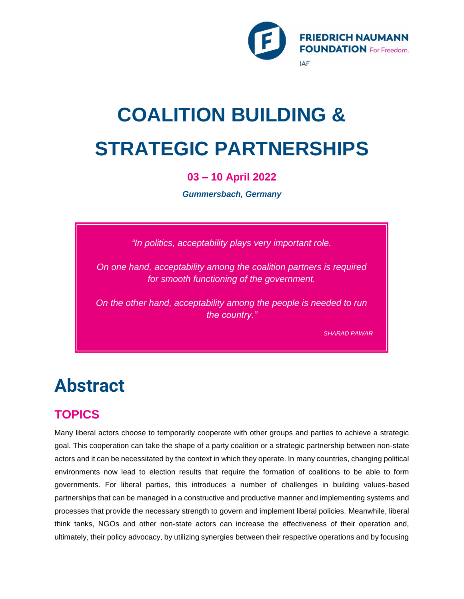

# **COALITION BUILDING & STRATEGIC PARTNERSHIPS**

### **03 – 10 April 2022**

*Gummersbach, Germany*

*"In politics, acceptability plays very important role.*

*On one hand, acceptability among the coalition partners is required for smooth functioning of the government.*

*On the other hand, acceptability among the people is needed to run the country."*

*SHARAD PAWAR*

## **Abstract**

## **TOPICS**

Many liberal actors choose to temporarily cooperate with other groups and parties to achieve a strategic goal. This cooperation can take the shape of a party coalition or a strategic partnership between non-state actors and it can be necessitated by the context in which they operate. In many countries, changing political environments now lead to election results that require the formation of coalitions to be able to form governments. For liberal parties, this introduces a number of challenges in building values-based partnerships that can be managed in a constructive and productive manner and implementing systems and processes that provide the necessary strength to govern and implement liberal policies. Meanwhile, liberal think tanks, NGOs and other non-state actors can increase the effectiveness of their operation and, ultimately, their policy advocacy, by utilizing synergies between their respective operations and by focusing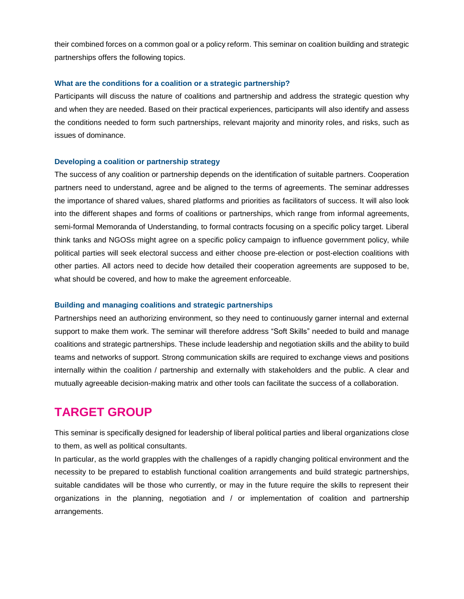their combined forces on a common goal or a policy reform. This seminar on coalition building and strategic partnerships offers the following topics.

#### **What are the conditions for a coalition or a strategic partnership?**

Participants will discuss the nature of coalitions and partnership and address the strategic question why and when they are needed. Based on their practical experiences, participants will also identify and assess the conditions needed to form such partnerships, relevant majority and minority roles, and risks, such as issues of dominance.

#### **Developing a coalition or partnership strategy**

The success of any coalition or partnership depends on the identification of suitable partners. Cooperation partners need to understand, agree and be aligned to the terms of agreements. The seminar addresses the importance of shared values, shared platforms and priorities as facilitators of success. It will also look into the different shapes and forms of coalitions or partnerships, which range from informal agreements, semi-formal Memoranda of Understanding, to formal contracts focusing on a specific policy target. Liberal think tanks and NGOSs might agree on a specific policy campaign to influence government policy, while political parties will seek electoral success and either choose pre-election or post-election coalitions with other parties. All actors need to decide how detailed their cooperation agreements are supposed to be, what should be covered, and how to make the agreement enforceable.

#### **Building and managing coalitions and strategic partnerships**

Partnerships need an authorizing environment, so they need to continuously garner internal and external support to make them work. The seminar will therefore address "Soft Skills" needed to build and manage coalitions and strategic partnerships. These include leadership and negotiation skills and the ability to build teams and networks of support. Strong communication skills are required to exchange views and positions internally within the coalition / partnership and externally with stakeholders and the public. A clear and mutually agreeable decision-making matrix and other tools can facilitate the success of a collaboration.

### **TARGET GROUP**

This seminar is specifically designed for leadership of liberal political parties and liberal organizations close to them, as well as political consultants.

In particular, as the world grapples with the challenges of a rapidly changing political environment and the necessity to be prepared to establish functional coalition arrangements and build strategic partnerships, suitable candidates will be those who currently, or may in the future require the skills to represent their organizations in the planning, negotiation and / or implementation of coalition and partnership arrangements.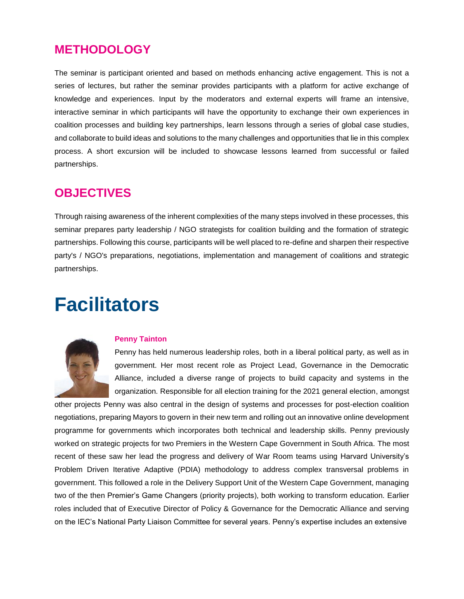## **METHODOLOGY**

The seminar is participant oriented and based on methods enhancing active engagement. This is not a series of lectures, but rather the seminar provides participants with a platform for active exchange of knowledge and experiences. Input by the moderators and external experts will frame an intensive, interactive seminar in which participants will have the opportunity to exchange their own experiences in coalition processes and building key partnerships, learn lessons through a series of global case studies, and collaborate to build ideas and solutions to the many challenges and opportunities that lie in this complex process. A short excursion will be included to showcase lessons learned from successful or failed partnerships.

## **OBJECTIVES**

Through raising awareness of the inherent complexities of the many steps involved in these processes, this seminar prepares party leadership / NGO strategists for coalition building and the formation of strategic partnerships. Following this course, participants will be well placed to re-define and sharpen their respective party's / NGO's preparations, negotiations, implementation and management of coalitions and strategic partnerships.

## **Facilitators**



### **Penny Tainton**

Penny has held numerous leadership roles, both in a liberal political party, as well as in government. Her most recent role as Project Lead, Governance in the Democratic Alliance, included a diverse range of projects to build capacity and systems in the organization. Responsible for all election training for the 2021 general election, amongst

other projects Penny was also central in the design of systems and processes for post-election coalition negotiations, preparing Mayors to govern in their new term and rolling out an innovative online development programme for governments which incorporates both technical and leadership skills. Penny previously worked on strategic projects for two Premiers in the Western Cape Government in South Africa. The most recent of these saw her lead the progress and delivery of War Room teams using Harvard University's Problem Driven Iterative Adaptive (PDIA) methodology to address complex transversal problems in government. This followed a role in the Delivery Support Unit of the Western Cape Government, managing two of the then Premier's Game Changers (priority projects), both working to transform education. Earlier roles included that of Executive Director of Policy & Governance for the Democratic Alliance and serving on the IEC's National Party Liaison Committee for several years. Penny's expertise includes an extensive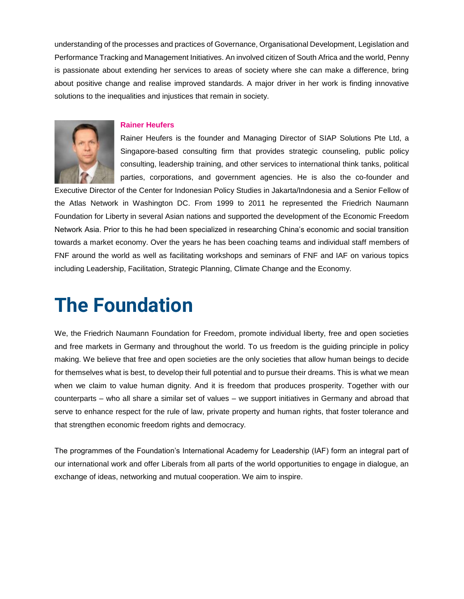understanding of the processes and practices of Governance, Organisational Development, Legislation and Performance Tracking and Management Initiatives. An involved citizen of South Africa and the world, Penny is passionate about extending her services to areas of society where she can make a difference, bring about positive change and realise improved standards. A major driver in her work is finding innovative solutions to the inequalities and injustices that remain in society.

#### **Rainer Heufers**

Rainer Heufers is the founder and Managing Director of SIAP Solutions Pte Ltd, a Singapore-based consulting firm that provides strategic counseling, public policy consulting, leadership training, and other services to international think tanks, political parties, corporations, and government agencies. He is also the co-founder and

Executive Director of the Center for Indonesian Policy Studies in Jakarta/Indonesia and a Senior Fellow of the Atlas Network in Washington DC. From 1999 to 2011 he represented the Friedrich Naumann Foundation for Liberty in several Asian nations and supported the development of the Economic Freedom Network Asia. Prior to this he had been specialized in researching China's economic and social transition towards a market economy. Over the years he has been coaching teams and individual staff members of FNF around the world as well as facilitating workshops and seminars of FNF and IAF on various topics including Leadership, Facilitation, Strategic Planning, Climate Change and the Economy.

## **The Foundation**

We, the Friedrich Naumann Foundation for Freedom, promote individual liberty, free and open societies and free markets in Germany and throughout the world. To us freedom is the guiding principle in policy making. We believe that free and open societies are the only societies that allow human beings to decide for themselves what is best, to develop their full potential and to pursue their dreams. This is what we mean when we claim to value human dignity. And it is freedom that produces prosperity. Together with our counterparts – who all share a similar set of values – we support initiatives in Germany and abroad that serve to enhance respect for the rule of law, private property and human rights, that foster tolerance and that strengthen economic freedom rights and democracy.

The programmes of the Foundation's International Academy for Leadership (IAF) form an integral part of our international work and offer Liberals from all parts of the world opportunities to engage in dialogue, an exchange of ideas, networking and mutual cooperation. We aim to inspire.